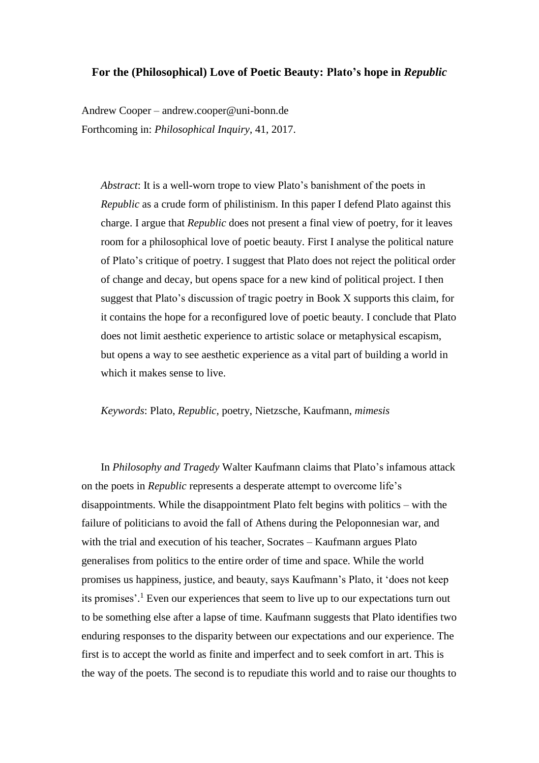## **For the (Philosophical) Love of Poetic Beauty: Plato's hope in** *Republic*

Andrew Cooper – andrew.cooper@uni-bonn.de Forthcoming in: *Philosophical Inquiry*, 41, 2017.

*Abstract*: It is a well-worn trope to view Plato's banishment of the poets in *Republic* as a crude form of philistinism. In this paper I defend Plato against this charge. I argue that *Republic* does not present a final view of poetry, for it leaves room for a philosophical love of poetic beauty. First I analyse the political nature of Plato's critique of poetry. I suggest that Plato does not reject the political order of change and decay, but opens space for a new kind of political project. I then suggest that Plato's discussion of tragic poetry in Book X supports this claim, for it contains the hope for a reconfigured love of poetic beauty. I conclude that Plato does not limit aesthetic experience to artistic solace or metaphysical escapism, but opens a way to see aesthetic experience as a vital part of building a world in which it makes sense to live.

*Keywords*: Plato, *Republic*, poetry, Nietzsche, Kaufmann, *mimesis*

In *Philosophy and Tragedy* Walter Kaufmann claims that Plato's infamous attack on the poets in *Republic* represents a desperate attempt to overcome life's disappointments. While the disappointment Plato felt begins with politics – with the failure of politicians to avoid the fall of Athens during the Peloponnesian war, and with the trial and execution of his teacher, Socrates – Kaufmann argues Plato generalises from politics to the entire order of time and space. While the world promises us happiness, justice, and beauty, says Kaufmann's Plato, it 'does not keep its promises'. <sup>1</sup> Even our experiences that seem to live up to our expectations turn out to be something else after a lapse of time. Kaufmann suggests that Plato identifies two enduring responses to the disparity between our expectations and our experience. The first is to accept the world as finite and imperfect and to seek comfort in art. This is the way of the poets. The second is to repudiate this world and to raise our thoughts to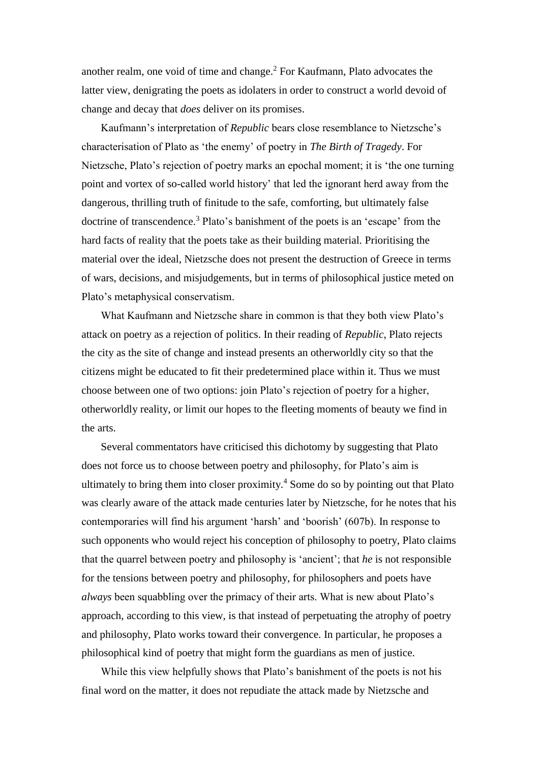another realm, one void of time and change.<sup>2</sup> For Kaufmann, Plato advocates the latter view, denigrating the poets as idolaters in order to construct a world devoid of change and decay that *does* deliver on its promises.

Kaufmann's interpretation of *Republic* bears close resemblance to Nietzsche's characterisation of Plato as 'the enemy' of poetry in *The Birth of Tragedy*. For Nietzsche, Plato's rejection of poetry marks an epochal moment; it is 'the one turning point and vortex of so-called world history' that led the ignorant herd away from the dangerous, thrilling truth of finitude to the safe, comforting, but ultimately false doctrine of transcendence.<sup>3</sup> Plato's banishment of the poets is an 'escape' from the hard facts of reality that the poets take as their building material. Prioritising the material over the ideal, Nietzsche does not present the destruction of Greece in terms of wars, decisions, and misjudgements, but in terms of philosophical justice meted on Plato's metaphysical conservatism.

What Kaufmann and Nietzsche share in common is that they both view Plato's attack on poetry as a rejection of politics. In their reading of *Republic*, Plato rejects the city as the site of change and instead presents an otherworldly city so that the citizens might be educated to fit their predetermined place within it. Thus we must choose between one of two options: join Plato's rejection of poetry for a higher, otherworldly reality, or limit our hopes to the fleeting moments of beauty we find in the arts.

Several commentators have criticised this dichotomy by suggesting that Plato does not force us to choose between poetry and philosophy, for Plato's aim is ultimately to bring them into closer proximity.<sup>4</sup> Some do so by pointing out that Plato was clearly aware of the attack made centuries later by Nietzsche, for he notes that his contemporaries will find his argument 'harsh' and 'boorish' (607b). In response to such opponents who would reject his conception of philosophy to poetry, Plato claims that the quarrel between poetry and philosophy is 'ancient'; that *he* is not responsible for the tensions between poetry and philosophy, for philosophers and poets have *always* been squabbling over the primacy of their arts. What is new about Plato's approach, according to this view, is that instead of perpetuating the atrophy of poetry and philosophy, Plato works toward their convergence. In particular, he proposes a philosophical kind of poetry that might form the guardians as men of justice.

While this view helpfully shows that Plato's banishment of the poets is not his final word on the matter, it does not repudiate the attack made by Nietzsche and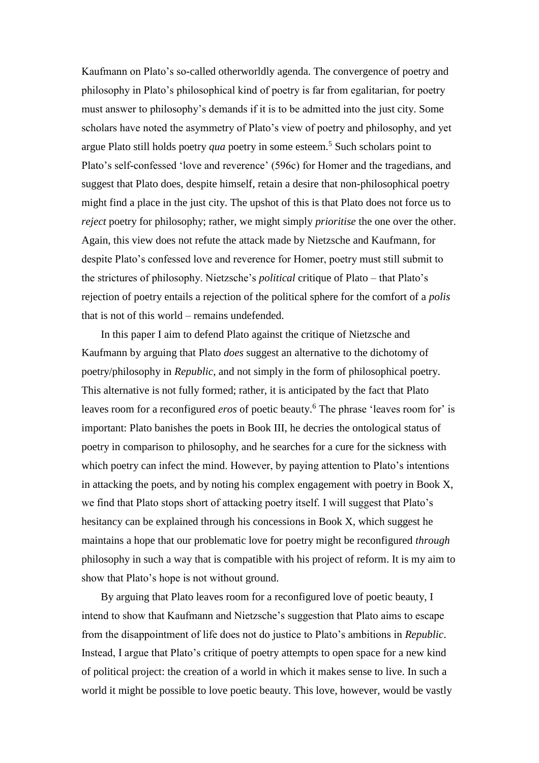Kaufmann on Plato's so-called otherworldly agenda. The convergence of poetry and philosophy in Plato's philosophical kind of poetry is far from egalitarian, for poetry must answer to philosophy's demands if it is to be admitted into the just city. Some scholars have noted the asymmetry of Plato's view of poetry and philosophy, and yet argue Plato still holds poetry *qua* poetry in some esteem.<sup>5</sup> Such scholars point to Plato's self-confessed 'love and reverence' (596c) for Homer and the tragedians, and suggest that Plato does, despite himself, retain a desire that non-philosophical poetry might find a place in the just city. The upshot of this is that Plato does not force us to *reject* poetry for philosophy; rather, we might simply *prioritise* the one over the other. Again, this view does not refute the attack made by Nietzsche and Kaufmann, for despite Plato's confessed love and reverence for Homer, poetry must still submit to the strictures of philosophy. Nietzsche's *political* critique of Plato – that Plato's rejection of poetry entails a rejection of the political sphere for the comfort of a *polis*  that is not of this world – remains undefended.

In this paper I aim to defend Plato against the critique of Nietzsche and Kaufmann by arguing that Plato *does* suggest an alternative to the dichotomy of poetry/philosophy in *Republic*, and not simply in the form of philosophical poetry. This alternative is not fully formed; rather, it is anticipated by the fact that Plato leaves room for a reconfigured *eros* of poetic beauty. <sup>6</sup> The phrase 'leaves room for' is important: Plato banishes the poets in Book III, he decries the ontological status of poetry in comparison to philosophy, and he searches for a cure for the sickness with which poetry can infect the mind. However, by paying attention to Plato's intentions in attacking the poets, and by noting his complex engagement with poetry in Book X, we find that Plato stops short of attacking poetry itself. I will suggest that Plato's hesitancy can be explained through his concessions in Book X, which suggest he maintains a hope that our problematic love for poetry might be reconfigured *through* philosophy in such a way that is compatible with his project of reform. It is my aim to show that Plato's hope is not without ground.

By arguing that Plato leaves room for a reconfigured love of poetic beauty, I intend to show that Kaufmann and Nietzsche's suggestion that Plato aims to escape from the disappointment of life does not do justice to Plato's ambitions in *Republic*. Instead, I argue that Plato's critique of poetry attempts to open space for a new kind of political project: the creation of a world in which it makes sense to live. In such a world it might be possible to love poetic beauty. This love, however, would be vastly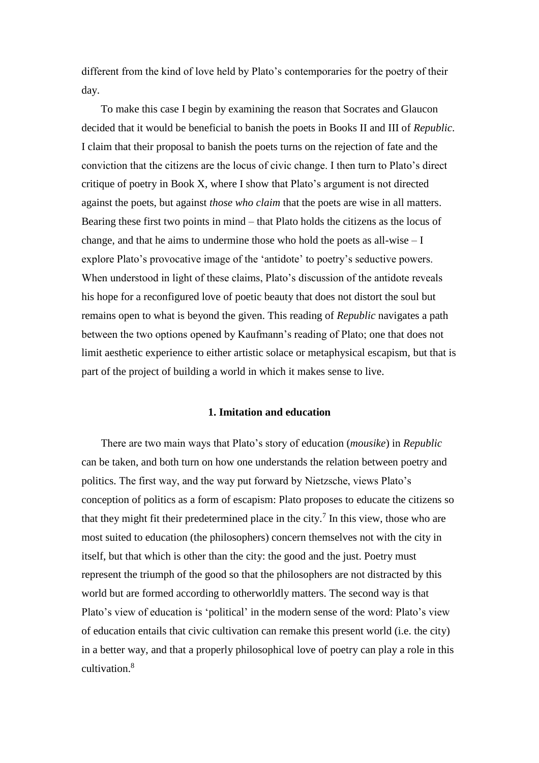different from the kind of love held by Plato's contemporaries for the poetry of their day.

To make this case I begin by examining the reason that Socrates and Glaucon decided that it would be beneficial to banish the poets in Books II and III of *Republic*. I claim that their proposal to banish the poets turns on the rejection of fate and the conviction that the citizens are the locus of civic change. I then turn to Plato's direct critique of poetry in Book X, where I show that Plato's argument is not directed against the poets, but against *those who claim* that the poets are wise in all matters. Bearing these first two points in mind – that Plato holds the citizens as the locus of change, and that he aims to undermine those who hold the poets as all-wise – I explore Plato's provocative image of the 'antidote' to poetry's seductive powers. When understood in light of these claims, Plato's discussion of the antidote reveals his hope for a reconfigured love of poetic beauty that does not distort the soul but remains open to what is beyond the given. This reading of *Republic* navigates a path between the two options opened by Kaufmann's reading of Plato; one that does not limit aesthetic experience to either artistic solace or metaphysical escapism, but that is part of the project of building a world in which it makes sense to live.

### **1. Imitation and education**

There are two main ways that Plato's story of education (*mousike*) in *Republic* can be taken, and both turn on how one understands the relation between poetry and politics. The first way, and the way put forward by Nietzsche, views Plato's conception of politics as a form of escapism: Plato proposes to educate the citizens so that they might fit their predetermined place in the city.<sup>7</sup> In this view, those who are most suited to education (the philosophers) concern themselves not with the city in itself, but that which is other than the city: the good and the just. Poetry must represent the triumph of the good so that the philosophers are not distracted by this world but are formed according to otherworldly matters. The second way is that Plato's view of education is 'political' in the modern sense of the word: Plato's view of education entails that civic cultivation can remake this present world (i.e. the city) in a better way, and that a properly philosophical love of poetry can play a role in this cultivation.<sup>8</sup>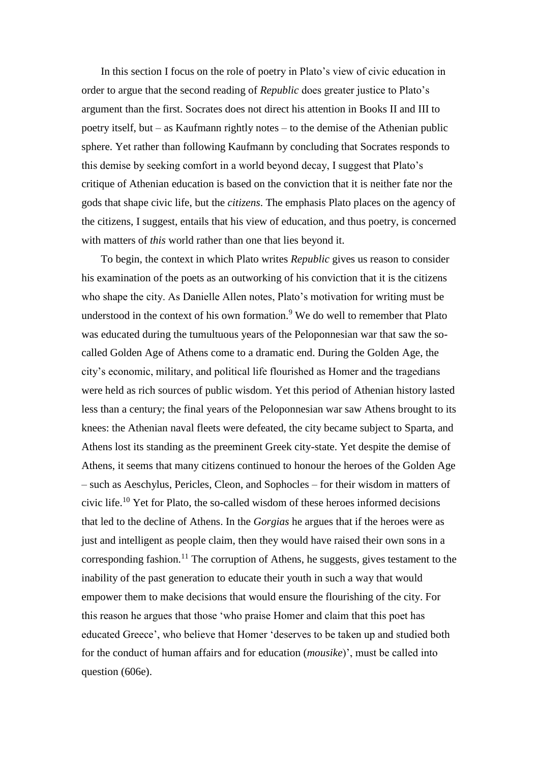In this section I focus on the role of poetry in Plato's view of civic education in order to argue that the second reading of *Republic* does greater justice to Plato's argument than the first. Socrates does not direct his attention in Books II and III to poetry itself, but – as Kaufmann rightly notes – to the demise of the Athenian public sphere. Yet rather than following Kaufmann by concluding that Socrates responds to this demise by seeking comfort in a world beyond decay, I suggest that Plato's critique of Athenian education is based on the conviction that it is neither fate nor the gods that shape civic life, but the *citizens*. The emphasis Plato places on the agency of the citizens, I suggest, entails that his view of education, and thus poetry, is concerned with matters of *this* world rather than one that lies beyond it.

To begin, the context in which Plato writes *Republic* gives us reason to consider his examination of the poets as an outworking of his conviction that it is the citizens who shape the city. As Danielle Allen notes, Plato's motivation for writing must be understood in the context of his own formation.<sup>9</sup> We do well to remember that Plato was educated during the tumultuous years of the Peloponnesian war that saw the socalled Golden Age of Athens come to a dramatic end. During the Golden Age, the city's economic, military, and political life flourished as Homer and the tragedians were held as rich sources of public wisdom. Yet this period of Athenian history lasted less than a century; the final years of the Peloponnesian war saw Athens brought to its knees: the Athenian naval fleets were defeated, the city became subject to Sparta, and Athens lost its standing as the preeminent Greek city-state. Yet despite the demise of Athens, it seems that many citizens continued to honour the heroes of the Golden Age – such as Aeschylus, Pericles, Cleon, and Sophocles – for their wisdom in matters of civic life.<sup>10</sup> Yet for Plato, the so-called wisdom of these heroes informed decisions that led to the decline of Athens. In the *Gorgias* he argues that if the heroes were as just and intelligent as people claim, then they would have raised their own sons in a corresponding fashion.<sup>11</sup> The corruption of Athens, he suggests, gives testament to the inability of the past generation to educate their youth in such a way that would empower them to make decisions that would ensure the flourishing of the city. For this reason he argues that those 'who praise Homer and claim that this poet has educated Greece', who believe that Homer 'deserves to be taken up and studied both for the conduct of human affairs and for education (*mousike*)', must be called into question (606e).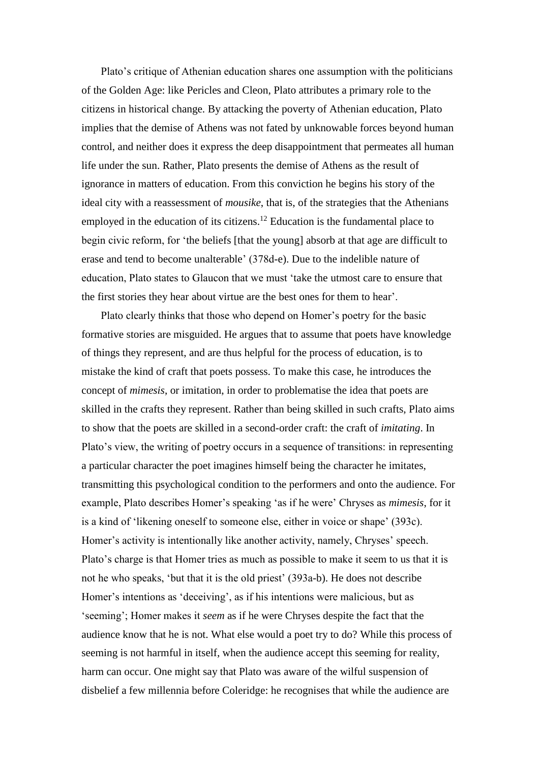Plato's critique of Athenian education shares one assumption with the politicians of the Golden Age: like Pericles and Cleon, Plato attributes a primary role to the citizens in historical change. By attacking the poverty of Athenian education, Plato implies that the demise of Athens was not fated by unknowable forces beyond human control, and neither does it express the deep disappointment that permeates all human life under the sun. Rather, Plato presents the demise of Athens as the result of ignorance in matters of education. From this conviction he begins his story of the ideal city with a reassessment of *mousike*, that is, of the strategies that the Athenians employed in the education of its citizens.<sup>12</sup> Education is the fundamental place to begin civic reform, for 'the beliefs [that the young] absorb at that age are difficult to erase and tend to become unalterable' (378d-e). Due to the indelible nature of education, Plato states to Glaucon that we must 'take the utmost care to ensure that the first stories they hear about virtue are the best ones for them to hear'.

Plato clearly thinks that those who depend on Homer's poetry for the basic formative stories are misguided. He argues that to assume that poets have knowledge of things they represent, and are thus helpful for the process of education, is to mistake the kind of craft that poets possess. To make this case, he introduces the concept of *mimesis*, or imitation, in order to problematise the idea that poets are skilled in the crafts they represent. Rather than being skilled in such crafts, Plato aims to show that the poets are skilled in a second-order craft: the craft of *imitating*. In Plato's view, the writing of poetry occurs in a sequence of transitions: in representing a particular character the poet imagines himself being the character he imitates, transmitting this psychological condition to the performers and onto the audience. For example, Plato describes Homer's speaking 'as if he were' Chryses as *mimesis*, for it is a kind of 'likening oneself to someone else, either in voice or shape' (393c). Homer's activity is intentionally like another activity, namely, Chryses' speech. Plato's charge is that Homer tries as much as possible to make it seem to us that it is not he who speaks, 'but that it is the old priest' (393a-b). He does not describe Homer's intentions as 'deceiving', as if his intentions were malicious, but as 'seeming'; Homer makes it *seem* as if he were Chryses despite the fact that the audience know that he is not. What else would a poet try to do? While this process of seeming is not harmful in itself, when the audience accept this seeming for reality, harm can occur. One might say that Plato was aware of the wilful suspension of disbelief a few millennia before Coleridge: he recognises that while the audience are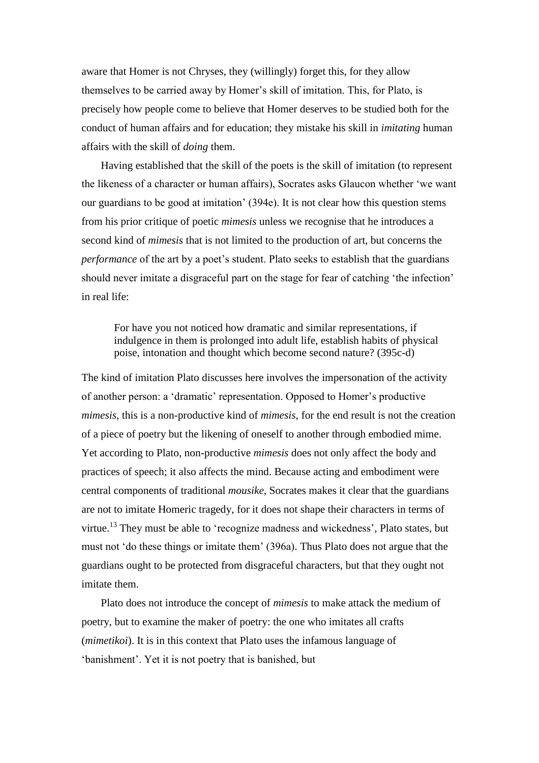aware that Homer is not Chryses, they (willingly) forget this, for they allow themselves to be carried away by Homer's skill of imitation. This, for Plato, is precisely how people come to believe that Homer deserves to be studied both for the conduct of human affairs and for education; they mistake his skill in *imitating* human affairs with the skill of *doing* them.

Having established that the skill of the poets is the skill of imitation (to represent the likeness of a character or human affairs), Socrates asks Glaucon whether 'we want our guardians to be good at imitation' (394e). It is not clear how this question stems from his prior critique of poetic *mimesis* unless we recognise that he introduces a second kind of *mimesis* that is not limited to the production of art, but concerns the *performance* of the art by a poet's student. Plato seeks to establish that the guardians should never imitate a disgraceful part on the stage for fear of catching 'the infection' in real life:

For have you not noticed how dramatic and similar representations, if indulgence in them is prolonged into adult life, establish habits of physical poise, intonation and thought which become second nature? (395c-d)

The kind of imitation Plato discusses here involves the impersonation of the activity of another person: a 'dramatic' representation. Opposed to Homer's productive *mimesis*, this is a non-productive kind of *mimesis*, for the end result is not the creation of a piece of poetry but the likening of oneself to another through embodied mime. Yet according to Plato, non-productive *mimesis* does not only affect the body and practices of speech; it also affects the mind. Because acting and embodiment were central components of traditional *mousike*, Socrates makes it clear that the guardians are not to imitate Homeric tragedy, for it does not shape their characters in terms of virtue.<sup>13</sup> They must be able to 'recognize madness and wickedness', Plato states, but must not 'do these things or imitate them' (396a). Thus Plato does not argue that the guardians ought to be protected from disgraceful characters, but that they ought not imitate them.

Plato does not introduce the concept of *mimesis* to make attack the medium of poetry, but to examine the maker of poetry: the one who imitates all crafts (*mimetikoi*). It is in this context that Plato uses the infamous language of 'banishment'. Yet it is not poetry that is banished, but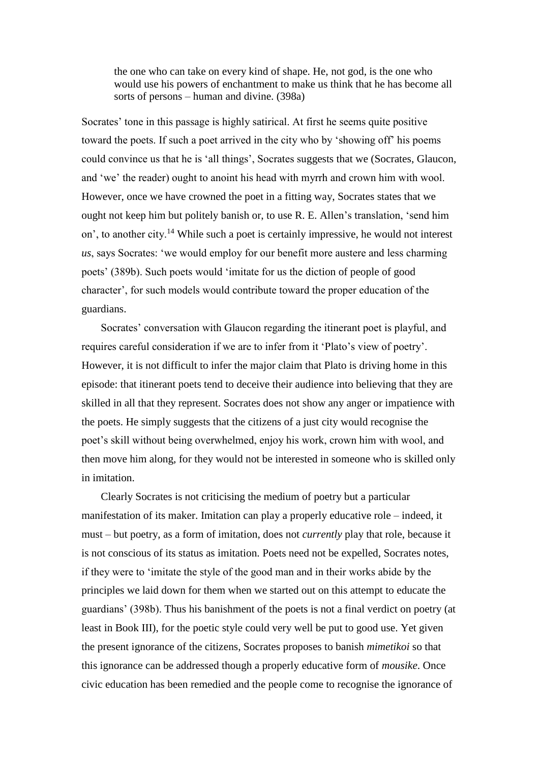the one who can take on every kind of shape. He, not god, is the one who would use his powers of enchantment to make us think that he has become all sorts of persons – human and divine. (398a)

Socrates' tone in this passage is highly satirical. At first he seems quite positive toward the poets. If such a poet arrived in the city who by 'showing off' his poems could convince us that he is 'all things', Socrates suggests that we (Socrates, Glaucon, and 'we' the reader) ought to anoint his head with myrrh and crown him with wool. However, once we have crowned the poet in a fitting way, Socrates states that we ought not keep him but politely banish or, to use R. E. Allen's translation, 'send him on', to another city.<sup>14</sup> While such a poet is certainly impressive, he would not interest *us*, says Socrates: 'we would employ for our benefit more austere and less charming poets' (389b). Such poets would 'imitate for us the diction of people of good character', for such models would contribute toward the proper education of the guardians.

Socrates' conversation with Glaucon regarding the itinerant poet is playful, and requires careful consideration if we are to infer from it 'Plato's view of poetry'. However, it is not difficult to infer the major claim that Plato is driving home in this episode: that itinerant poets tend to deceive their audience into believing that they are skilled in all that they represent. Socrates does not show any anger or impatience with the poets. He simply suggests that the citizens of a just city would recognise the poet's skill without being overwhelmed, enjoy his work, crown him with wool, and then move him along, for they would not be interested in someone who is skilled only in imitation.

Clearly Socrates is not criticising the medium of poetry but a particular manifestation of its maker. Imitation can play a properly educative role – indeed, it must – but poetry, as a form of imitation, does not *currently* play that role, because it is not conscious of its status as imitation. Poets need not be expelled, Socrates notes, if they were to 'imitate the style of the good man and in their works abide by the principles we laid down for them when we started out on this attempt to educate the guardians' (398b). Thus his banishment of the poets is not a final verdict on poetry (at least in Book III), for the poetic style could very well be put to good use. Yet given the present ignorance of the citizens, Socrates proposes to banish *mimetikoi* so that this ignorance can be addressed though a properly educative form of *mousike*. Once civic education has been remedied and the people come to recognise the ignorance of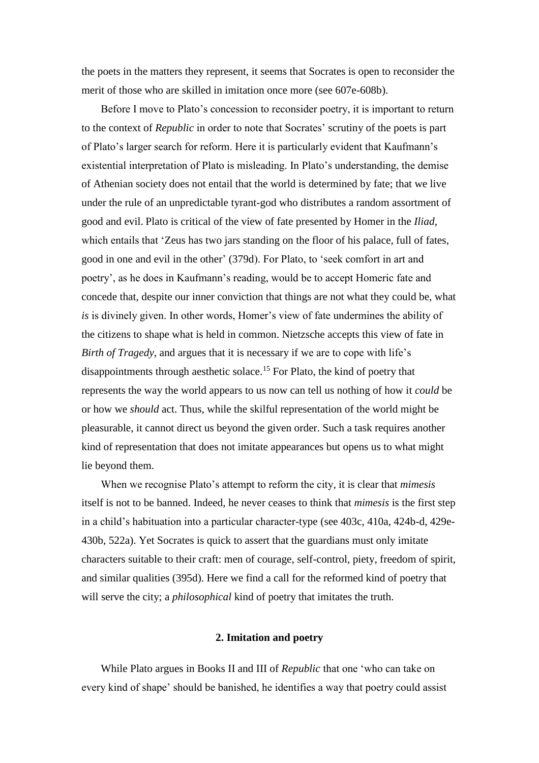the poets in the matters they represent, it seems that Socrates is open to reconsider the merit of those who are skilled in imitation once more (see 607e-608b).

Before I move to Plato's concession to reconsider poetry, it is important to return to the context of *Republic* in order to note that Socrates' scrutiny of the poets is part of Plato's larger search for reform. Here it is particularly evident that Kaufmann's existential interpretation of Plato is misleading. In Plato's understanding, the demise of Athenian society does not entail that the world is determined by fate; that we live under the rule of an unpredictable tyrant-god who distributes a random assortment of good and evil. Plato is critical of the view of fate presented by Homer in the *Iliad*, which entails that 'Zeus has two jars standing on the floor of his palace, full of fates, good in one and evil in the other' (379d). For Plato, to 'seek comfort in art and poetry', as he does in Kaufmann's reading, would be to accept Homeric fate and concede that, despite our inner conviction that things are not what they could be, what *is* is divinely given. In other words, Homer's view of fate undermines the ability of the citizens to shape what is held in common. Nietzsche accepts this view of fate in *Birth of Tragedy*, and argues that it is necessary if we are to cope with life's disappointments through aesthetic solace.<sup>15</sup> For Plato, the kind of poetry that represents the way the world appears to us now can tell us nothing of how it *could* be or how we *should* act. Thus, while the skilful representation of the world might be pleasurable, it cannot direct us beyond the given order. Such a task requires another kind of representation that does not imitate appearances but opens us to what might lie beyond them.

When we recognise Plato's attempt to reform the city, it is clear that *mimesis* itself is not to be banned. Indeed, he never ceases to think that *mimesis* is the first step in a child's habituation into a particular character-type (see 403c, 410a, 424b-d, 429e-430b, 522a). Yet Socrates is quick to assert that the guardians must only imitate characters suitable to their craft: men of courage, self-control, piety, freedom of spirit, and similar qualities (395d). Here we find a call for the reformed kind of poetry that will serve the city; a *philosophical* kind of poetry that imitates the truth.

#### **2. Imitation and poetry**

While Plato argues in Books II and III of *Republic* that one 'who can take on every kind of shape' should be banished, he identifies a way that poetry could assist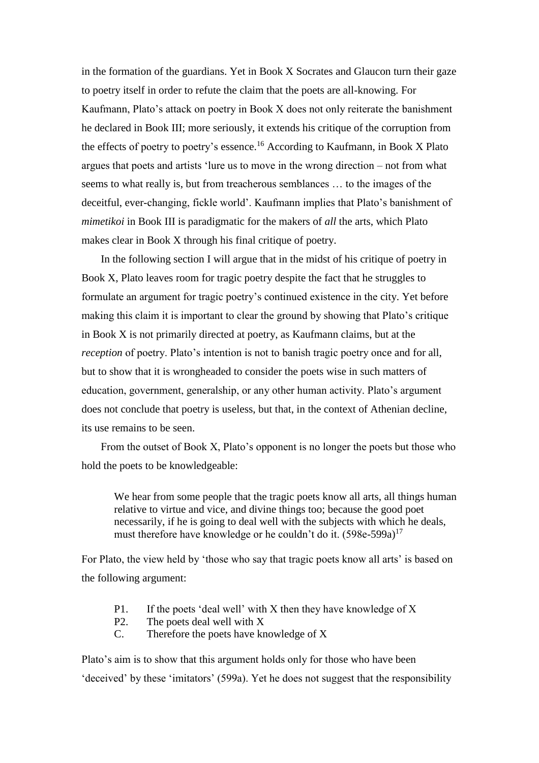in the formation of the guardians. Yet in Book X Socrates and Glaucon turn their gaze to poetry itself in order to refute the claim that the poets are all-knowing. For Kaufmann, Plato's attack on poetry in Book X does not only reiterate the banishment he declared in Book III; more seriously, it extends his critique of the corruption from the effects of poetry to poetry's essence. <sup>16</sup> According to Kaufmann, in Book X Plato argues that poets and artists 'lure us to move in the wrong direction – not from what seems to what really is, but from treacherous semblances … to the images of the deceitful, ever-changing, fickle world'. Kaufmann implies that Plato's banishment of *mimetikoi* in Book III is paradigmatic for the makers of *all* the arts, which Plato makes clear in Book X through his final critique of poetry.

In the following section I will argue that in the midst of his critique of poetry in Book X, Plato leaves room for tragic poetry despite the fact that he struggles to formulate an argument for tragic poetry's continued existence in the city. Yet before making this claim it is important to clear the ground by showing that Plato's critique in Book X is not primarily directed at poetry, as Kaufmann claims, but at the *reception* of poetry. Plato's intention is not to banish tragic poetry once and for all, but to show that it is wrongheaded to consider the poets wise in such matters of education, government, generalship, or any other human activity. Plato's argument does not conclude that poetry is useless, but that, in the context of Athenian decline, its use remains to be seen.

From the outset of Book X, Plato's opponent is no longer the poets but those who hold the poets to be knowledgeable:

We hear from some people that the tragic poets know all arts, all things human relative to virtue and vice, and divine things too; because the good poet necessarily, if he is going to deal well with the subjects with which he deals, must therefore have knowledge or he couldn't do it.  $(598e-599a)^{17}$ 

For Plato, the view held by 'those who say that tragic poets know all arts' is based on the following argument:

- P1. If the poets 'deal well' with X then they have knowledge of X
- P2. The poets deal well with X
- C. Therefore the poets have knowledge of X

Plato's aim is to show that this argument holds only for those who have been 'deceived' by these 'imitators' (599a). Yet he does not suggest that the responsibility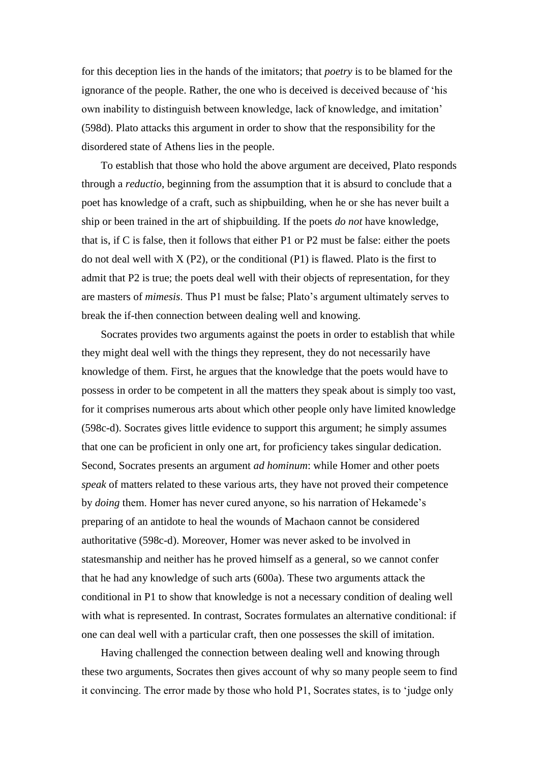for this deception lies in the hands of the imitators; that *poetry* is to be blamed for the ignorance of the people. Rather, the one who is deceived is deceived because of 'his own inability to distinguish between knowledge, lack of knowledge, and imitation' (598d). Plato attacks this argument in order to show that the responsibility for the disordered state of Athens lies in the people.

To establish that those who hold the above argument are deceived, Plato responds through a *reductio*, beginning from the assumption that it is absurd to conclude that a poet has knowledge of a craft, such as shipbuilding, when he or she has never built a ship or been trained in the art of shipbuilding. If the poets *do not* have knowledge, that is, if C is false, then it follows that either P1 or P2 must be false: either the poets do not deal well with  $X(P2)$ , or the conditional  $(P1)$  is flawed. Plato is the first to admit that P2 is true; the poets deal well with their objects of representation, for they are masters of *mimesis*. Thus P1 must be false; Plato's argument ultimately serves to break the if-then connection between dealing well and knowing.

Socrates provides two arguments against the poets in order to establish that while they might deal well with the things they represent, they do not necessarily have knowledge of them. First, he argues that the knowledge that the poets would have to possess in order to be competent in all the matters they speak about is simply too vast, for it comprises numerous arts about which other people only have limited knowledge (598c-d). Socrates gives little evidence to support this argument; he simply assumes that one can be proficient in only one art, for proficiency takes singular dedication. Second, Socrates presents an argument *ad hominum*: while Homer and other poets *speak* of matters related to these various arts, they have not proved their competence by *doing* them. Homer has never cured anyone, so his narration of Hekamede's preparing of an antidote to heal the wounds of Machaon cannot be considered authoritative (598c-d). Moreover, Homer was never asked to be involved in statesmanship and neither has he proved himself as a general, so we cannot confer that he had any knowledge of such arts (600a). These two arguments attack the conditional in P1 to show that knowledge is not a necessary condition of dealing well with what is represented. In contrast, Socrates formulates an alternative conditional: if one can deal well with a particular craft, then one possesses the skill of imitation.

Having challenged the connection between dealing well and knowing through these two arguments, Socrates then gives account of why so many people seem to find it convincing. The error made by those who hold P1, Socrates states, is to 'judge only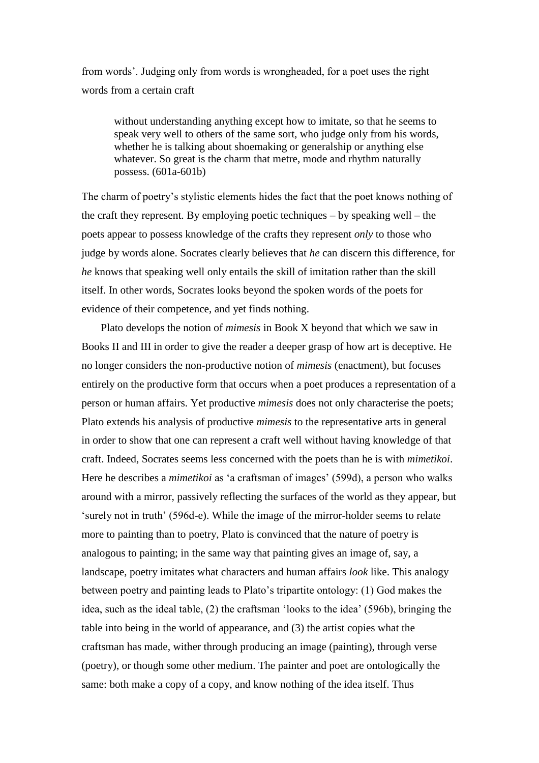from words'. Judging only from words is wrongheaded, for a poet uses the right words from a certain craft

without understanding anything except how to imitate, so that he seems to speak very well to others of the same sort, who judge only from his words, whether he is talking about shoemaking or generalship or anything else whatever. So great is the charm that metre, mode and rhythm naturally possess. (601a-601b)

The charm of poetry's stylistic elements hides the fact that the poet knows nothing of the craft they represent. By employing poetic techniques – by speaking well – the poets appear to possess knowledge of the crafts they represent *only* to those who judge by words alone. Socrates clearly believes that *he* can discern this difference, for *he* knows that speaking well only entails the skill of imitation rather than the skill itself. In other words, Socrates looks beyond the spoken words of the poets for evidence of their competence, and yet finds nothing.

Plato develops the notion of *mimesis* in Book X beyond that which we saw in Books II and III in order to give the reader a deeper grasp of how art is deceptive. He no longer considers the non-productive notion of *mimesis* (enactment), but focuses entirely on the productive form that occurs when a poet produces a representation of a person or human affairs. Yet productive *mimesis* does not only characterise the poets; Plato extends his analysis of productive *mimesis* to the representative arts in general in order to show that one can represent a craft well without having knowledge of that craft. Indeed, Socrates seems less concerned with the poets than he is with *mimetikoi*. Here he describes a *mimetikoi* as 'a craftsman of images' (599d), a person who walks around with a mirror, passively reflecting the surfaces of the world as they appear, but 'surely not in truth' (596d-e). While the image of the mirror-holder seems to relate more to painting than to poetry, Plato is convinced that the nature of poetry is analogous to painting; in the same way that painting gives an image of, say, a landscape, poetry imitates what characters and human affairs *look* like. This analogy between poetry and painting leads to Plato's tripartite ontology: (1) God makes the idea, such as the ideal table, (2) the craftsman 'looks to the idea' (596b), bringing the table into being in the world of appearance, and (3) the artist copies what the craftsman has made, wither through producing an image (painting), through verse (poetry), or though some other medium. The painter and poet are ontologically the same: both make a copy of a copy, and know nothing of the idea itself. Thus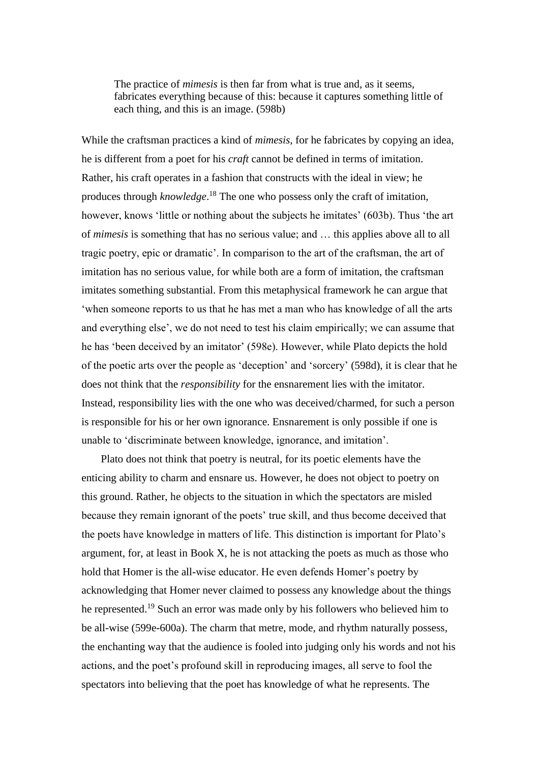The practice of *mimesis* is then far from what is true and, as it seems, fabricates everything because of this: because it captures something little of each thing, and this is an image. (598b)

While the craftsman practices a kind of *mimesis*, for he fabricates by copying an idea, he is different from a poet for his *craft* cannot be defined in terms of imitation. Rather, his craft operates in a fashion that constructs with the ideal in view; he produces through *knowledge*. <sup>18</sup> The one who possess only the craft of imitation, however, knows 'little or nothing about the subjects he imitates' (603b). Thus 'the art of *mimesis* is something that has no serious value; and … this applies above all to all tragic poetry, epic or dramatic'. In comparison to the art of the craftsman, the art of imitation has no serious value, for while both are a form of imitation, the craftsman imitates something substantial. From this metaphysical framework he can argue that 'when someone reports to us that he has met a man who has knowledge of all the arts and everything else', we do not need to test his claim empirically; we can assume that he has 'been deceived by an imitator' (598e). However, while Plato depicts the hold of the poetic arts over the people as 'deception' and 'sorcery' (598d), it is clear that he does not think that the *responsibility* for the ensnarement lies with the imitator. Instead, responsibility lies with the one who was deceived/charmed, for such a person is responsible for his or her own ignorance. Ensnarement is only possible if one is unable to 'discriminate between knowledge, ignorance, and imitation'.

Plato does not think that poetry is neutral, for its poetic elements have the enticing ability to charm and ensnare us. However, he does not object to poetry on this ground. Rather, he objects to the situation in which the spectators are misled because they remain ignorant of the poets' true skill, and thus become deceived that the poets have knowledge in matters of life. This distinction is important for Plato's argument, for, at least in Book X, he is not attacking the poets as much as those who hold that Homer is the all-wise educator. He even defends Homer's poetry by acknowledging that Homer never claimed to possess any knowledge about the things he represented.<sup>19</sup> Such an error was made only by his followers who believed him to be all-wise (599e-600a). The charm that metre, mode, and rhythm naturally possess, the enchanting way that the audience is fooled into judging only his words and not his actions, and the poet's profound skill in reproducing images, all serve to fool the spectators into believing that the poet has knowledge of what he represents. The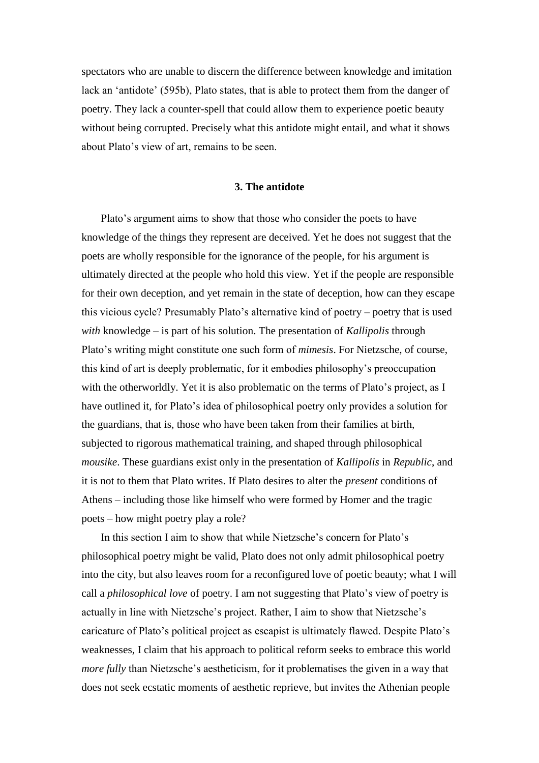spectators who are unable to discern the difference between knowledge and imitation lack an 'antidote' (595b), Plato states, that is able to protect them from the danger of poetry. They lack a counter-spell that could allow them to experience poetic beauty without being corrupted. Precisely what this antidote might entail, and what it shows about Plato's view of art, remains to be seen.

#### **3. The antidote**

Plato's argument aims to show that those who consider the poets to have knowledge of the things they represent are deceived. Yet he does not suggest that the poets are wholly responsible for the ignorance of the people, for his argument is ultimately directed at the people who hold this view. Yet if the people are responsible for their own deception, and yet remain in the state of deception, how can they escape this vicious cycle? Presumably Plato's alternative kind of poetry – poetry that is used *with* knowledge – is part of his solution. The presentation of *Kallipolis* through Plato's writing might constitute one such form of *mimesis*. For Nietzsche, of course, this kind of art is deeply problematic, for it embodies philosophy's preoccupation with the otherworldly. Yet it is also problematic on the terms of Plato's project, as I have outlined it, for Plato's idea of philosophical poetry only provides a solution for the guardians, that is, those who have been taken from their families at birth, subjected to rigorous mathematical training, and shaped through philosophical *mousike*. These guardians exist only in the presentation of *Kallipolis* in *Republic*, and it is not to them that Plato writes. If Plato desires to alter the *present* conditions of Athens – including those like himself who were formed by Homer and the tragic poets – how might poetry play a role?

In this section I aim to show that while Nietzsche's concern for Plato's philosophical poetry might be valid, Plato does not only admit philosophical poetry into the city, but also leaves room for a reconfigured love of poetic beauty; what I will call a *philosophical love* of poetry. I am not suggesting that Plato's view of poetry is actually in line with Nietzsche's project. Rather, I aim to show that Nietzsche's caricature of Plato's political project as escapist is ultimately flawed. Despite Plato's weaknesses, I claim that his approach to political reform seeks to embrace this world *more fully* than Nietzsche's aestheticism, for it problematises the given in a way that does not seek ecstatic moments of aesthetic reprieve, but invites the Athenian people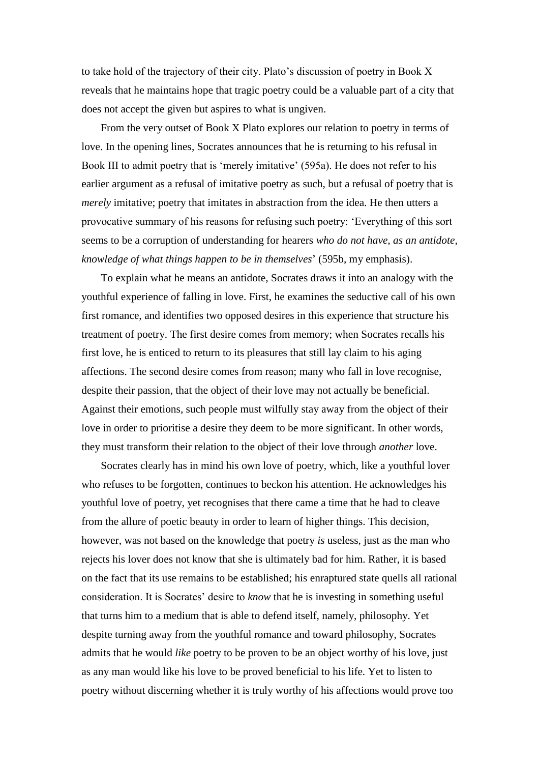to take hold of the trajectory of their city. Plato's discussion of poetry in Book X reveals that he maintains hope that tragic poetry could be a valuable part of a city that does not accept the given but aspires to what is ungiven.

From the very outset of Book X Plato explores our relation to poetry in terms of love. In the opening lines, Socrates announces that he is returning to his refusal in Book III to admit poetry that is 'merely imitative' (595a). He does not refer to his earlier argument as a refusal of imitative poetry as such, but a refusal of poetry that is *merely* imitative; poetry that imitates in abstraction from the idea. He then utters a provocative summary of his reasons for refusing such poetry: 'Everything of this sort seems to be a corruption of understanding for hearers *who do not have, as an antidote, knowledge of what things happen to be in themselves*' (595b, my emphasis).

To explain what he means an antidote, Socrates draws it into an analogy with the youthful experience of falling in love. First, he examines the seductive call of his own first romance, and identifies two opposed desires in this experience that structure his treatment of poetry. The first desire comes from memory; when Socrates recalls his first love, he is enticed to return to its pleasures that still lay claim to his aging affections. The second desire comes from reason; many who fall in love recognise, despite their passion, that the object of their love may not actually be beneficial. Against their emotions, such people must wilfully stay away from the object of their love in order to prioritise a desire they deem to be more significant. In other words, they must transform their relation to the object of their love through *another* love.

Socrates clearly has in mind his own love of poetry, which, like a youthful lover who refuses to be forgotten, continues to beckon his attention. He acknowledges his youthful love of poetry, yet recognises that there came a time that he had to cleave from the allure of poetic beauty in order to learn of higher things. This decision, however, was not based on the knowledge that poetry *is* useless, just as the man who rejects his lover does not know that she is ultimately bad for him. Rather, it is based on the fact that its use remains to be established; his enraptured state quells all rational consideration. It is Socrates' desire to *know* that he is investing in something useful that turns him to a medium that is able to defend itself, namely, philosophy. Yet despite turning away from the youthful romance and toward philosophy, Socrates admits that he would *like* poetry to be proven to be an object worthy of his love, just as any man would like his love to be proved beneficial to his life. Yet to listen to poetry without discerning whether it is truly worthy of his affections would prove too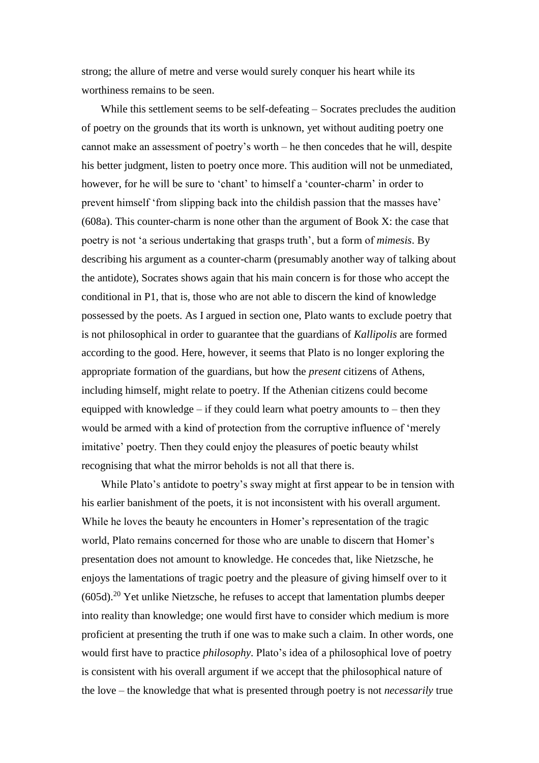strong; the allure of metre and verse would surely conquer his heart while its worthiness remains to be seen.

While this settlement seems to be self-defeating – Socrates precludes the audition of poetry on the grounds that its worth is unknown, yet without auditing poetry one cannot make an assessment of poetry's worth – he then concedes that he will, despite his better judgment, listen to poetry once more. This audition will not be unmediated, however, for he will be sure to 'chant' to himself a 'counter-charm' in order to prevent himself 'from slipping back into the childish passion that the masses have' (608a). This counter-charm is none other than the argument of Book X: the case that poetry is not 'a serious undertaking that grasps truth', but a form of *mimesis*. By describing his argument as a counter-charm (presumably another way of talking about the antidote), Socrates shows again that his main concern is for those who accept the conditional in P1, that is, those who are not able to discern the kind of knowledge possessed by the poets. As I argued in section one, Plato wants to exclude poetry that is not philosophical in order to guarantee that the guardians of *Kallipolis* are formed according to the good. Here, however, it seems that Plato is no longer exploring the appropriate formation of the guardians, but how the *present* citizens of Athens, including himself, might relate to poetry. If the Athenian citizens could become equipped with knowledge – if they could learn what poetry amounts to – then they would be armed with a kind of protection from the corruptive influence of 'merely imitative' poetry. Then they could enjoy the pleasures of poetic beauty whilst recognising that what the mirror beholds is not all that there is.

While Plato's antidote to poetry's sway might at first appear to be in tension with his earlier banishment of the poets, it is not inconsistent with his overall argument. While he loves the beauty he encounters in Homer's representation of the tragic world, Plato remains concerned for those who are unable to discern that Homer's presentation does not amount to knowledge. He concedes that, like Nietzsche, he enjoys the lamentations of tragic poetry and the pleasure of giving himself over to it  $(605d).<sup>20</sup>$  Yet unlike Nietzsche, he refuses to accept that lamentation plumbs deeper into reality than knowledge; one would first have to consider which medium is more proficient at presenting the truth if one was to make such a claim. In other words, one would first have to practice *philosophy*. Plato's idea of a philosophical love of poetry is consistent with his overall argument if we accept that the philosophical nature of the love – the knowledge that what is presented through poetry is not *necessarily* true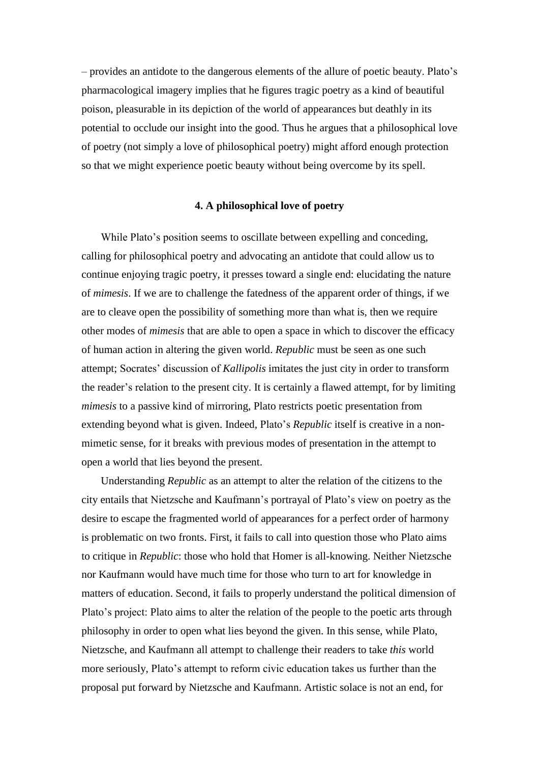– provides an antidote to the dangerous elements of the allure of poetic beauty. Plato's pharmacological imagery implies that he figures tragic poetry as a kind of beautiful poison, pleasurable in its depiction of the world of appearances but deathly in its potential to occlude our insight into the good. Thus he argues that a philosophical love of poetry (not simply a love of philosophical poetry) might afford enough protection so that we might experience poetic beauty without being overcome by its spell.

# **4. A philosophical love of poetry**

While Plato's position seems to oscillate between expelling and conceding, calling for philosophical poetry and advocating an antidote that could allow us to continue enjoying tragic poetry, it presses toward a single end: elucidating the nature of *mimesis*. If we are to challenge the fatedness of the apparent order of things, if we are to cleave open the possibility of something more than what is, then we require other modes of *mimesis* that are able to open a space in which to discover the efficacy of human action in altering the given world. *Republic* must be seen as one such attempt; Socrates' discussion of *Kallipolis* imitates the just city in order to transform the reader's relation to the present city. It is certainly a flawed attempt, for by limiting *mimesis* to a passive kind of mirroring, Plato restricts poetic presentation from extending beyond what is given. Indeed, Plato's *Republic* itself is creative in a nonmimetic sense, for it breaks with previous modes of presentation in the attempt to open a world that lies beyond the present.

Understanding *Republic* as an attempt to alter the relation of the citizens to the city entails that Nietzsche and Kaufmann's portrayal of Plato's view on poetry as the desire to escape the fragmented world of appearances for a perfect order of harmony is problematic on two fronts. First, it fails to call into question those who Plato aims to critique in *Republic*: those who hold that Homer is all-knowing. Neither Nietzsche nor Kaufmann would have much time for those who turn to art for knowledge in matters of education. Second, it fails to properly understand the political dimension of Plato's project: Plato aims to alter the relation of the people to the poetic arts through philosophy in order to open what lies beyond the given. In this sense, while Plato, Nietzsche, and Kaufmann all attempt to challenge their readers to take *this* world more seriously, Plato's attempt to reform civic education takes us further than the proposal put forward by Nietzsche and Kaufmann. Artistic solace is not an end, for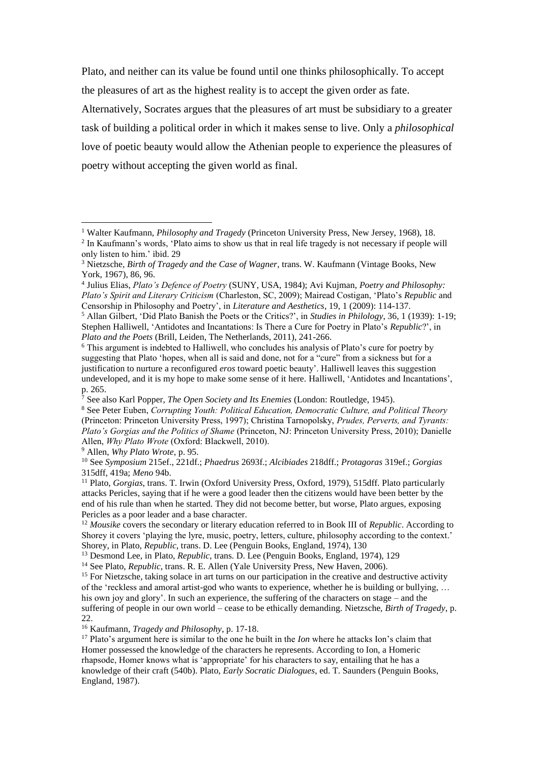Plato, and neither can its value be found until one thinks philosophically. To accept the pleasures of art as the highest reality is to accept the given order as fate.

Alternatively, Socrates argues that the pleasures of art must be subsidiary to a greater task of building a political order in which it makes sense to live. Only a *philosophical* love of poetic beauty would allow the Athenian people to experience the pleasures of poetry without accepting the given world as final.

<sup>9</sup> Allen, *Why Plato Wrote*, p. 95.

 $\overline{a}$ 

<sup>16</sup> Kaufmann, *Tragedy and Philosophy*, p. 17-18.

<sup>1</sup> Walter Kaufmann, *Philosophy and Tragedy* (Princeton University Press, New Jersey, 1968), 18.

<sup>&</sup>lt;sup>2</sup> In Kaufmann's words, 'Plato aims to show us that in real life tragedy is not necessary if people will only listen to him.' ibid. 29

<sup>3</sup> Nietzsche, *Birth of Tragedy and the Case of Wagner*, trans. W. Kaufmann (Vintage Books, New York, 1967), 86, 96.

<sup>4</sup> Julius Elias, *Plato's Defence of Poetry* (SUNY, USA, 1984); Avi Kujman, *Poetry and Philosophy: Plato's Spirit and Literary Criticism* (Charleston, SC, 2009); Mairead Costigan, 'Plato's *Republic* and Censorship in Philosophy and Poetry', in *Literature and Aesthetics*, 19, 1 (2009): 114-137.

<sup>5</sup> Allan Gilbert, 'Did Plato Banish the Poets or the Critics?', in *Studies in Philology*, 36, 1 (1939): 1-19; Stephen Halliwell, 'Antidotes and Incantations: Is There a Cure for Poetry in Plato's *Republic*?', in *Plato and the Poets* (Brill, Leiden, The Netherlands, 2011), 241-266.

<sup>6</sup> This argument is indebted to Halliwell, who concludes his analysis of Plato's cure for poetry by suggesting that Plato 'hopes, when all is said and done, not for a "cure" from a sickness but for a justification to nurture a reconfigured *eros* toward poetic beauty'. Halliwell leaves this suggestion undeveloped, and it is my hope to make some sense of it here. Halliwell, 'Antidotes and Incantations', p. 265.

<sup>7</sup> See also Karl Popper, *The Open Society and Its Enemies* (London: Routledge, 1945).

<sup>8</sup> See Peter Euben, *Corrupting Youth: Political Education, Democratic Culture, and Political Theory* (Princeton: Princeton University Press, 1997); Christina Tarnopolsky, *Prudes, Perverts, and Tyrants: Plato's Gorgias and the Politics of Shame* (Princeton, NJ: Princeton University Press, 2010); Danielle Allen, *Why Plato Wrote* (Oxford: Blackwell, 2010).

<sup>10</sup> See *Symposium* 215ef., 221df.; *Phaedrus* 2693f.; *Alcibiades* 218dff.; *Protagoras* 319ef.; *Gorgias*  315dff, 419a; *Meno* 94b.

<sup>&</sup>lt;sup>11</sup> Plato, *Gorgias*, trans. T. Irwin (Oxford University Press, Oxford, 1979), 515dff. Plato particularly attacks Pericles, saying that if he were a good leader then the citizens would have been better by the end of his rule than when he started. They did not become better, but worse, Plato argues, exposing Pericles as a poor leader and a base character.

<sup>12</sup> *Mousike* covers the secondary or literary education referred to in Book III of *Republic*. According to Shorey it covers 'playing the lyre, music, poetry, letters, culture, philosophy according to the context.' Shorey, in Plato, *Republic*, trans. D. Lee (Penguin Books, England, 1974), 130

<sup>&</sup>lt;sup>13</sup> Desmond Lee, in Plato, *Republic*, trans. D. Lee (Penguin Books, England, 1974), 129

<sup>&</sup>lt;sup>14</sup> See Plato, *Republic*, trans. R. E. Allen (Yale University Press, New Haven, 2006).

<sup>&</sup>lt;sup>15</sup> For Nietzsche, taking solace in art turns on our participation in the creative and destructive activity of the 'reckless and amoral artist-god who wants to experience, whether he is building or bullying, … his own joy and glory'. In such an experience, the suffering of the characters on stage – and the suffering of people in our own world – cease to be ethically demanding. Nietzsche, *Birth of Tragedy*, p. 22.

<sup>17</sup> Plato's argument here is similar to the one he built in the *Ion* where he attacks Ion's claim that Homer possessed the knowledge of the characters he represents. According to Ion, a Homeric rhapsode, Homer knows what is 'appropriate' for his characters to say, entailing that he has a knowledge of their craft (540b). Plato, *Early Socratic Dialogues*, ed. T. Saunders (Penguin Books, England, 1987).